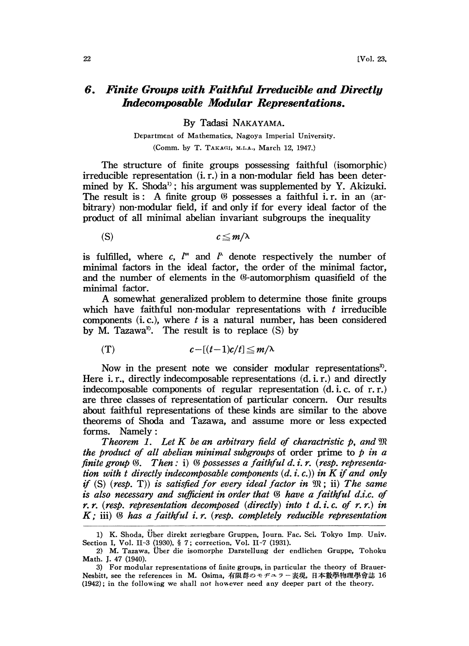## 6. Finite Groups with Faithful Irreducible and Directly Indecomposable Modular Representations.

By Tadasi NAKAYAMA.

Department of Mathematics, Nagoya Imperial University. (Comm. by T. TAKAGI, M.I.A., March 12, 1947.)

The structure of finite groups possessing faithful (isomorphic)  $irreducible representation (i. r.)$  in a non-modular field has been determined by K. Shoda<sup>1</sup>; his argument was supplemented by Y. Akizuki. The result is: A finite group  $\mathcal G$  possesses a faithful i.r. in an (arbitrary) non-modular field, if and only if for every ideal factor of the product of all minimal abelian invariant subgroups the inequality

(S)  $c \leq m/\lambda$ 

is fulfilled, where c,  $l^m$  and  $l^{\lambda}$  denote respectively the number of minimal factors in the ideal factor, the order of the minimal factor, and the number of elements in the  $\mathcal{O}$ -automorphism quasifield of the minimal factor.

A somewhat generalized problem to determine those finite groups which have faithful non-modular representations with  $t$  irreducible components  $(i, c)$ , where t is a natural number, has been considered by M. Tazawa<sup>2</sup>. The result is to replace  $(S)$  by

$$
(T) \t c-[(t-1)c/t] \leq m/\lambda
$$

Now in the present note we consider modular representations<sup>3</sup>. Here i.r., directly indecomposable representations  $(d, i, r)$  and directly indecomposable components of regular representation (d. i. c. of r.r.) are three classes of representation of particular concern. Our results about faithful representations of these kinds are similar to the above theorems of Shoda and Tazawa, and assume more or less expected forms. Namely

Theorem 1. Let K be an arbitrary field of charactristic p, and  $\mathfrak{M}$ the product of all abelian minimal subgroups of order prime to  $p$  in a finite group  $\mathcal{F}$ . Then  $\colon$  i)  $\mathcal{F}$  possesses a faithful d. i. r. (resp. representation with t directly indecomposable components  $(d, i, c)$  in K if and only if (S) (resp. T)) is satisfied for every ideal factor in  $\mathfrak{M}$ ; ii) The same is also necessary and sufficient in order that  $\mathcal G$  have a faithful d.i.c. of r.r. (resp. representation decomposed (directly) into t d.i.c. of r.r.) in  $K$ ; iii)  $\mathcal B$  has a faithful i.r. (resp. completely reducible representation

<sup>1)</sup> K. Shoda, Uber direkt zerlegbare Gruppen, lourn. Fac. Sci. Tokyo Imp. Univ. Section I, Vol. II-3 (1930), § 7; correction, Vol. II-7 (1931).

<sup>2)</sup> M. Tazawa, Über die isomorphe Darstellung der endlichen Gruppe, Tohoku Math. J. 47 (1940).

<sup>3)</sup> For modular representations of finite groups, in particular the theory of Brauer-Math. J. 47 (1940).<br>3) For modular representations of finite groups, in particular the theory of Brauer-<br>Nesbitt, see the references in M. Osima, 有限群のモヂュラー表現, 日本數學物理學會誌 16 (1942); in the following we shall not however need any deeper part of the theory.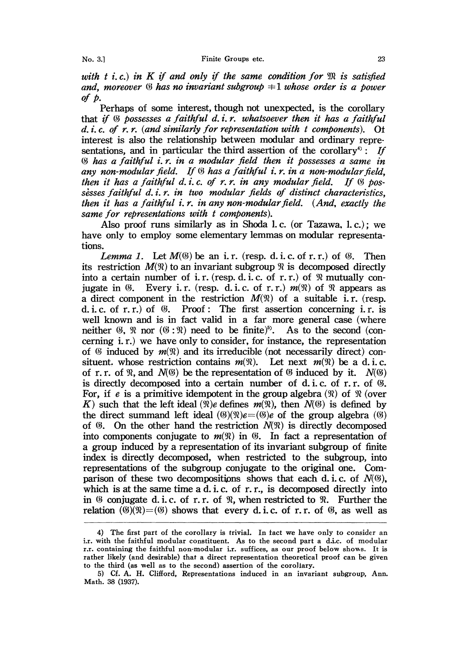with t i.c.) in K if and only if the same condition for  $\mathfrak{M}$  is satisfied and, moreover  $\mathcal G$  has no invariant subgroup  $\pm 1$  whose order is a power of  $p$ .

Perhaps of some interest, though not unexpected, is the corollary that if  $\mathfrak G$  possesses a faithful d. i.r. whatsoever then it has a faithful d. i. . of r. r. (and similarly for representation with <sup>t</sup> components). interest is also the relationship between modular and ordinary representations, and in particular the third assertion of the corollary<sup>4</sup>: If has a faithful i.r. in a modular field then it possesses a same in any non-modular field. If  $\mathfrak G$  has a faithful i.r. in a non-modular field, then it has a faithful d.i.c. of r.r. in any modular field. If  $\%$  possesses faithful  $d_i$ ,  $i$ ,  $r_i$ ,  $m$  two modular fields of distinct characteristics, then it has a faithful i.r. in any non-modular field.  $(And, exactly the$ same for representations with t components).

Also proof runs similarly as in Shoda 1.c. (or Tazawa, 1.c.); we have only to employ some elementary lemmas on modular representations.

*Lemma 1.* Let  $M(\mathcal{G})$  be an i.r. (resp. d. i.c. of r. r.) of  $\mathcal{G}$ . Then its restriction  $M(\mathcal{X})$  to an invariant subgroup  $\mathcal{X}$  is decomposed directly into a certain number of i.r. (resp. d. i.c. of r.r.) of  $\Re$  mutually conjugate in  $\mathcal{B}$ . Every i.r. (resp. d.i.c. of r.r.)  $m(\mathcal{R})$  of  $\mathcal{R}$  appears as a direct component in the restriction  $M(\mathfrak{N})$  of a suitable i.r. (resp. d. i. c. of r.r.) of  $\mathcal{G}$ . Proof: The first assertion concerning i.r. is well known and is in fact valid in a far more general case (where neither  $\mathfrak{G}, \mathfrak{R}$  nor  $(\mathfrak{G}:\mathfrak{R})$  need to be finite)<sup>5</sup>. As to the second (concerning i.r.) we have only to consider, for instance, the representation of  $\mathfrak G$  induced by  $m(\mathfrak R)$  and its irreducible (not necessarily direct) consituent, whose restriction contains  $m(\mathfrak{N})$ . Let next  $m(\mathfrak{N})$  be a d.i.c. of r.r. of  $\Re$ , and  $N(\mathcal{B})$  be the representation of  $\mathcal{B}$  induced by it.  $N(\mathcal{B})$ is directly decomposed into a certain number of d. i. c. of r. r. of  $\mathcal{G}$ . For, if e is a primitive idempotent in the group algebra  $(\mathcal{X})$  of  $\mathcal{X}$  (over K) such that the left ideal ( $\mathfrak{R}$ )e defines  $m(\mathfrak{R})$ , then  $N(\mathfrak{G})$  is defined by the direct summand left ideal  $(\mathcal{C})(\mathcal{R})e=(\mathcal{C})e$  of the group algebra  $(\mathcal{C})$ of  $\mathcal{F}$ . On the other hand the restriction  $N(\mathcal{R})$  is directly decomposed into components conjugate to  $m(\mathfrak{N})$  in  $\mathfrak{G}$ . In fact a representation of a group induced by a representation of its invariant subgroup of finite index is directly decomposed, when restricted to the subgroup, into representations of the subgroup conjugate to the original one. Comparison of these two decompositions shows that each d. i. c. of  $N(\mathcal{Y})$ , which is at the same time a d. i. c. of  $r, r$ , is decomposed directly into in  $\mathcal C$  conjugate d. i. c. of r. r. of  $\mathcal R$ , when restricted to  $\mathcal R$ . Further the relation ( $(\mathcal{Y})(\mathcal{X})=(\mathcal{Y})$  shows that every d. i. c. of r. r. of  $\mathcal{Y}$ , as well as

<sup>4)</sup> The first part of the corollary is trivial. In fact we have only to consider an i.r. with the faithful modular constituent. As to the second part a d.i.c. of modular r.r. containing the faithful non-modular i.r. suffices, as our proof below shows. It is rather likely (and desirable) that a direct representation theoretical proof can be given to the third (as well as to the second) assertion of the corollary.

<sup>5)</sup> Cf. A. H. Clifford, Representations induced in an invariant subgroup, Ann. Math. 38 (1937).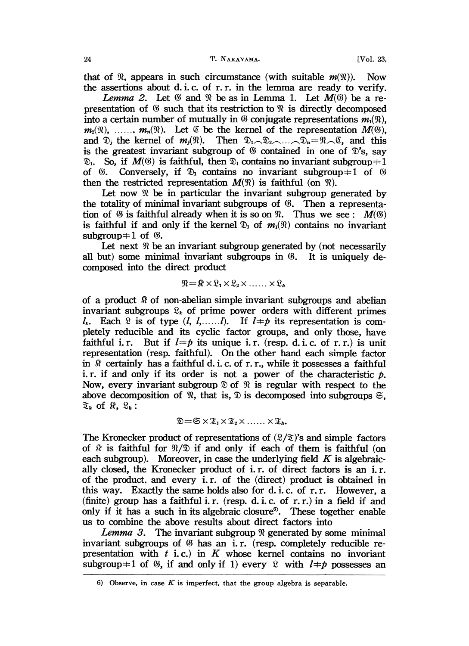that of  $\mathcal{R}$ , appears in such circumstance (with suitable  $m(\mathcal{R})$ ). Now the assertions about d. i.c. of r.r. in the lemma are ready to verify.

*Lemma 2.* Let  $\Im$  and  $\Re$  be as in Lemma 1. Let  $M(\Im)$  be a representation of  $\mathfrak G$  such that its restriction to  $\mathfrak R$  is directly decomposed into a certain number of mutually in  $\mathfrak G$  conjugate representations  $m_1(\mathfrak{N})$ ,  $m_2(\mathfrak{N}),$  .....,  $m_n(\mathfrak{N})$ . Let  $\mathfrak{C}$  be the kernel of the representation  $M(\mathfrak{G})$ , and  $\mathfrak{D}$ , the kernel of  $m_1(\mathfrak{N})$ . Then  $\mathfrak{D}_1 \cap \mathfrak{D}_2 \cap \cdots \cap \mathfrak{D}_n = \mathfrak{N} \cap \mathfrak{C}$ , and this and  $\mathfrak{D}_j$ , the kernel of  $m_j(\mathfrak{N})$ . Then  $\mathfrak{D}_1 \setminus \mathfrak{D}_2 \setminus \ldots \setminus \mathfrak{D}_n = \mathfrak{N} \setminus \mathfrak{C}$ , and this is the greatest invariant subgroup of  $\mathfrak{G}$  contained in one of  $\mathfrak{D}'$ 's, sav  $\mathfrak{D}_1$ . So, if  $M(\mathfrak{G})$  is faithful, then  $\mathfrak{D}_1$  contains no invariant subgroup  $\pm 1$ of (6. Conversely, if  $\mathfrak{D}_1$  contains no invariant subgroup  $\pm 1$  of (6) then the restricted representation  $M(\mathfrak{N})$  is faithful (on  $\mathfrak{N}$ ).

Let now  $\mathcal{R}$  be in particular the invariant subgroup generated by the totality of minimal invariant subgroups of  $\mathcal{C}$ . Then a representation of  $\emptyset$  is faithful already when it is so on  $\mathcal{R}$ . Thus we see:  $M(\emptyset)$ is faithful if and only if the kernel  $\mathfrak{D}_1$  of  $m_1(\mathfrak{N})$  contains no invariant subgroup $\pm 1$  of  $\&$ .

Let next  $\Re$  be an invariant subgroup generated by (not necessarily all but) some minimal invariant subgroups in (@. It is uniquely decomposed into the direct product

$$
\mathfrak{N} = \mathfrak{R} \times \mathfrak{L}_1 \times \mathfrak{L}_2 \times \ldots \times \mathfrak{L}_h
$$

 $\mathcal{R} = \mathcal{R} \times \mathcal{Q}_1 \times \mathcal{Q}_2 \times \dots \times \mathcal{Q}_k$ <br>abelian simple invariant<br>of prime power orders of a product  $\Re$  of non-abelian simple invariant subgroups and abelian invariant subgroups  $\mathcal{R}_k$  of prime power orders with different primes  $l_k$ . Each 2 is of type  $(l, l, \ldots, l)$ . If  $l \neq p$  its representation is completely reducible and its cyclic factor groups, and only those, have faithful i.r. But if  $l=p$  its unique i.r. (resp. d. i.c. of r.r.) is unit representation (resp. faithful). On the other hand each simple factor in  $\Re$  certainly has a faithful d. i. c. of r. r., while it possesses a faithful i.r. if and only if its order is not a power of the characteristic  $p$ . Now, every invariant subgroup  $\mathcal D$  of  $\mathcal R$  is regular with respect to the above decomposition of  $\mathcal{R}$ , that is,  $\mathcal{D}$  is decomposed into subgroups  $\mathfrak{S}$ .  $\mathfrak{T}_k$  of  $\mathfrak{K}, \mathfrak{L}_k$ :

$$
\mathfrak{D} = \mathfrak{S} \times \mathfrak{T}_1 \times \mathfrak{T}_2 \times \ldots \ldots \times \mathfrak{T}_h.
$$

 $\mathfrak{D} = \mathfrak{S} \times \mathfrak{T}_1 \times \mathfrak{T}_2 \times \dots \times \mathfrak{T}_h$ .<br>The Kronecker product of representations of  $(\mathfrak{L}/\mathfrak{T})$ 's and simple factors of  $\mathfrak{R}$  is faithful for  $\mathfrak{R}/\mathfrak{D}$  if and only if each of them is faithful (on The Kronecker product of representations of  $(\mathcal{L}/\mathcal{I})$ 's and simple factors each subgroup). Moreover, in case the underlying field  $K$  is algebraically closed, the Kronecker product of i.r. of direct factors is an i.r. of the product, and every i.r. of the (direct) product is obtained in this way. Exactly the same holds also for d. i.c. of r.r. However, a (finite) group has a faithful i.r. (resp. d. i.c. of r.r.) in a field if and only if it has a such in its algebraic closure<sup> $6$ </sup>. These together enable us to combine the above results about direct factors into

*Lemma 3.* The invariant subgroup  $\Re$  generated by some minimal invariant subgroups of  $\mathcal G$  has an i.r. (resp. completely reducible representation with  $t$  i.c.) in  $K$  whose kernel contains no invortant subgroup  $\pm 1$  of (6), if and only if 1) every  $\ell$  with  $l \pm p$  possesses an

<sup>6)</sup> Observe, in case  $K$  is imperfect, that the group algebra is separable.